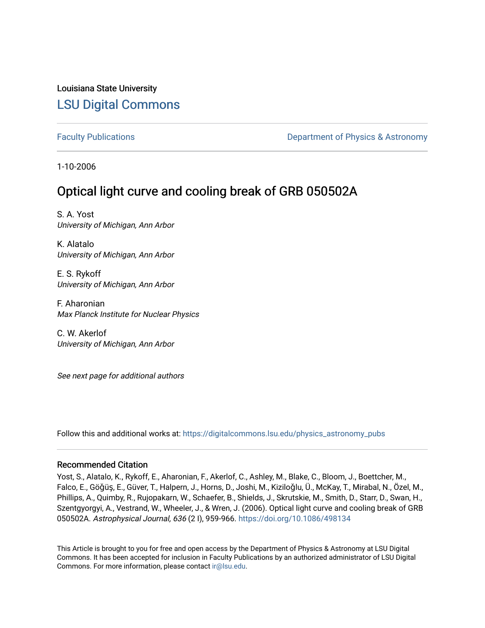## Louisiana State University [LSU Digital Commons](https://digitalcommons.lsu.edu/)

[Faculty Publications](https://digitalcommons.lsu.edu/physics_astronomy_pubs) **Example 2** Constant Department of Physics & Astronomy

1-10-2006

# Optical light curve and cooling break of GRB 050502A

S. A. Yost University of Michigan, Ann Arbor

K. Alatalo University of Michigan, Ann Arbor

E. S. Rykoff University of Michigan, Ann Arbor

F. Aharonian Max Planck Institute for Nuclear Physics

C. W. Akerlof University of Michigan, Ann Arbor

See next page for additional authors

Follow this and additional works at: [https://digitalcommons.lsu.edu/physics\\_astronomy\\_pubs](https://digitalcommons.lsu.edu/physics_astronomy_pubs?utm_source=digitalcommons.lsu.edu%2Fphysics_astronomy_pubs%2F4725&utm_medium=PDF&utm_campaign=PDFCoverPages) 

## Recommended Citation

Yost, S., Alatalo, K., Rykoff, E., Aharonian, F., Akerlof, C., Ashley, M., Blake, C., Bloom, J., Boettcher, M., Falco, E., Göǧüş, E., Güver, T., Halpern, J., Horns, D., Joshi, M., Kiziloǧlu, Ü., McKay, T., Mirabal, N., Özel, M., Phillips, A., Quimby, R., Rujopakarn, W., Schaefer, B., Shields, J., Skrutskie, M., Smith, D., Starr, D., Swan, H., Szentgyorgyi, A., Vestrand, W., Wheeler, J., & Wren, J. (2006). Optical light curve and cooling break of GRB 050502A. Astrophysical Journal, 636 (2 I), 959-966.<https://doi.org/10.1086/498134>

This Article is brought to you for free and open access by the Department of Physics & Astronomy at LSU Digital Commons. It has been accepted for inclusion in Faculty Publications by an authorized administrator of LSU Digital Commons. For more information, please contact [ir@lsu.edu](mailto:ir@lsu.edu).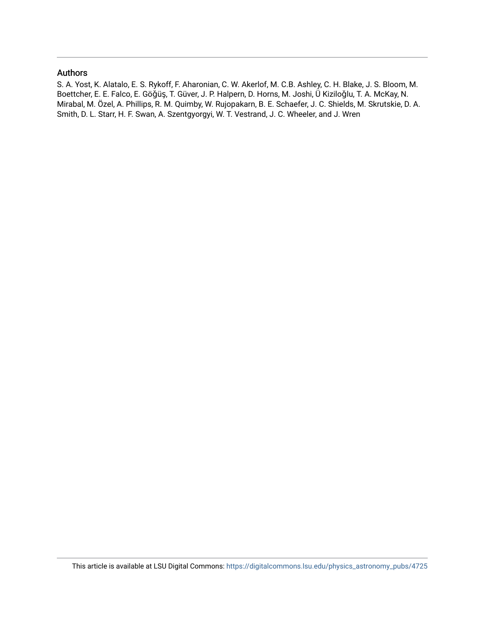### Authors

S. A. Yost, K. Alatalo, E. S. Rykoff, F. Aharonian, C. W. Akerlof, M. C.B. Ashley, C. H. Blake, J. S. Bloom, M. Boettcher, E. E. Falco, E. Göǧüş, T. Güver, J. P. Halpern, D. Horns, M. Joshi, Ü Kiziloǧlu, T. A. McKay, N. Mirabal, M. Özel, A. Phillips, R. M. Quimby, W. Rujopakarn, B. E. Schaefer, J. C. Shields, M. Skrutskie, D. A. Smith, D. L. Starr, H. F. Swan, A. Szentgyorgyi, W. T. Vestrand, J. C. Wheeler, and J. Wren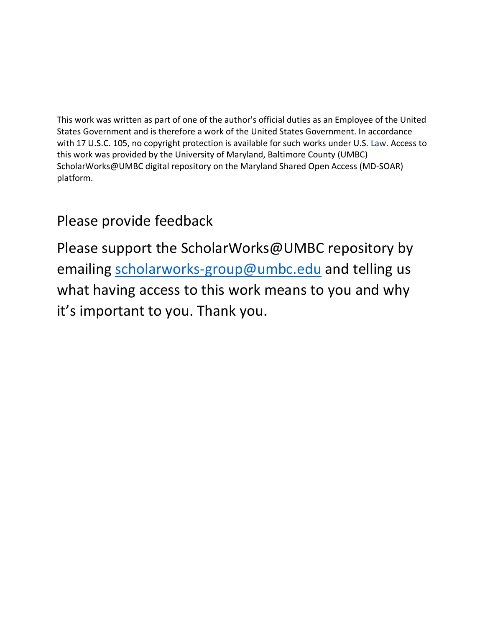This work was written as part of one of the author's official duties as an Employee of the United States Government and is therefore a work of the United States Government. In accordance with 17 U.S.C. 105, no copyright protection is available for such works under U.S. Law. Access to this work was provided by the University of Maryland, Baltimore County (UMBC) ScholarWorks@UMBC digital repository on the Maryland Shared Open Access (MD-SOAR) platform.

# Please provide feedback

Please support the ScholarWorks@UMBC repository by emailing [scholarworks-group@umbc.edu](mailto:scholarworks-group@umbc.edu) and telling us what having access to this work means to you and why it's important to you. Thank you.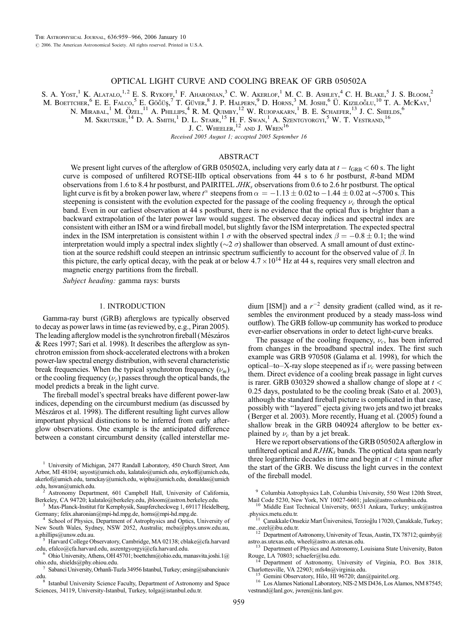#### OPTICAL LIGHT CURVE AND COOLING BREAK OF GRB 050502A

S. A. Yost,<sup>1</sup> K. Alatalo,<sup>1,2</sup> E. S. Rykoff,<sup>1</sup> F. Aharonian,<sup>3</sup> C. W. Akerlof,<sup>1</sup> M. C. B. Ashley,<sup>4</sup> C. H. Blake,<sup>5</sup> J. S. Bloom,<sup>2</sup> M. BOETTCHER, <sup>6</sup> E. E. FALCO, <sup>5</sup> E. GÖĞÜŞ, <sup>7</sup> T. GÜVER, <sup>8</sup> J. P. HALPERN, <sup>9</sup> D. HORNS, <sup>3</sup> M. JOSHI, <sup>6</sup> Ü. KIZILOĞLU,<sup>10</sup> T. A. MCKAY,<sup>1</sup> N. MIRABAL,<sup>1</sup> M. ÖZEL,<sup>11</sup> A. PHILLIPS,<sup>4</sup> R. M. QUIMBY,<sup>12</sup> W. RUJOPAKARN,<sup>1</sup> B. E. SCHAEFER,<sup>13</sup> J. C. SHIELDS,<sup>6</sup> M. Skrutskie,  $^{14}$  D. A. Smith,<sup>1</sup> D. L. Starr,<sup>15</sup> H. F. Swan,<sup>1</sup> A. Szentgyorgyi,<sup>5</sup> W. T. Vestrand,<sup>16</sup>

J. C. WHEELER, <sup>12</sup> AND J. WREN<sup>16</sup>

Recei*v*ed 2005 August 1; accepted 2005 September 16

#### ABSTRACT

We present light curves of the afterglow of GRB 050502A, including very early data at  $t - t_{\text{GRB}} < 60$  s. The light curve is composed of unfiltered ROTSE-IIIb optical observations from 44 s to 6 hr postburst, R-band MDM observations from 1.6 to 8.4 hr postburst, and PAIRITEL  $JHK<sub>s</sub>$  observations from 0.6 to 2.6 hr postburst. The optical light curve is fit by a broken power law, where  $t^\alpha$  steepens from  $\alpha = -1.13 \pm 0.02$  to  $-1.44 \pm 0.02$  at  $\sim$ 5700 s. This steepening is consistent with the evolution expected for the passage of the cooling frequency  $\nu_c$  through the optical band. Even in our earliest observation at 44 s postburst, there is no evidence that the optical flux is brighter than a backward extrapolation of the later power law would suggest. The observed decay indices and spectral index are consistent with either an ISM or a wind fireball model, but slightly favor the ISM interpretation. The expected spectral index in the ISM interpretation is consistent within 1  $\sigma$  with the observed spectral index  $\beta = -0.8 \pm 0.1$ ; the wind interpretation would imply a spectral index slightly ( $\sim$ 2  $\sigma$ ) shallower than observed. A small amount of dust extinction at the source redshift could steepen an intrinsic spectrum sufficiently to account for the observed value of  $\beta$ . In this picture, the early optical decay, with the peak at or below  $4.7 \times 10^{14}$  Hz at 44 s, requires very small electron and magnetic energy partitions from the fireball.

Subject heading: gamma rays: bursts

#### 1. INTRODUCTION

Gamma-ray burst (GRB) afterglows are typically observed to decay as power laws in time (as reviewed by, e.g., Piran 2005). The leading afterglow model is the synchrotron fireball (Mészáros & Rees 1997; Sari et al. 1998). It describes the afterglow as synchrotron emission from shock-accelerated electrons with a broken power-law spectral energy distribution, with several characteristic break frequencies. When the typical synchrotron frequency  $(\nu_m)$ or the cooling frequency  $(\nu_c)$  passes through the optical bands, the model predicts a break in the light curve.

The fireball model's spectral breaks have different power-law indices, depending on the circumburst medium (as discussed by Mészáros et al. 1998). The different resulting light curves allow important physical distinctions to be inferred from early afterglow observations. One example is the anticipated difference between a constant circumburst density (called interstellar me-

<sup>1</sup> University of Michigan, 2477 Randall Laboratory, 450 Church Street, Ann Arbor, MI 48104; sayost@umich.edu, kalatalo@umich.edu, erykoff@umich.edu, akerlof@umich.edu, tamckay@umich.edu, wiphu@umich.edu, donaldas@umich.edu, hswan@umich.edu.

<sup>2</sup> Astronomy Department, 601 Campbell Hall, University of California, Berkeley, CA 94720; kalatalo@berkeley.edu, jbloom@astron.berkeley.edu.

<sup>3</sup> Max-Planck-Institut für Kernphysik, Saupfercheckweg 1, 69117 Heidelberg, Germany; felix.aharonian@mpi-hd.mpg.de, horns@mpi-hd.mpg.de.

<sup>4</sup> School of Physics, Department of Astrophysics and Optics, University of New South Wales, Sydney, NSW 2052, Australia; mcba@phys.unsw.edu.au,

<sup>5</sup> Harvard College Observatory, Cambridge, MA 02138; cblake@cfa.harvard .edu. efalco@cfa.harvard.edu. aszentgyorgyi@cfa.harvard.edu.

Ohio University, Athens, OH 45701; boettchm@ohio.edu, manasvita.joshi.1@ ohio.edu, shields@phy.ohiou.edu.

dium [ISM]) and a  $r^{-2}$  density gradient (called wind, as it resembles the environment produced by a steady mass-loss wind outflow). The GRB follow-up community has worked to produce ever-earlier observations in order to detect light-curve breaks.

The passage of the cooling frequency,  $\nu_c$ , has been inferred from changes in the broadband spectral index. The first such example was GRB 970508 (Galama et al. 1998), for which the optical–to–X-ray slope steepened as if  $\nu_c$  were passing between them. Direct evidence of a cooling break passage in light curves is rarer. GRB 030329 showed a shallow change of slope at  $t <$ 0:25 days, postulated to be the cooling break (Sato et al. 2003), although the standard fireball picture is complicated in that case, possibly with ''layered'' ejecta giving two jets and two jet breaks (Berger et al. 2003). More recently, Huang et al. (2005) found a shallow break in the GRB 040924 afterglow to be better explained by  $\nu_c$  than by a jet break.

Here we report observations of the GRB 050502A afterglow in unfiltered optical and  $RJHK<sub>s</sub>$  bands. The optical data span nearly three logarithmic decades in time and begin at  $t < 1$  minute after the start of the GRB. We discuss the light curves in the context of the fireball model.

<sup>9</sup> Columbia Astrophysics Lab, Columbia University, 550 West 120th Street, Mail Code 5230, New York, NY 10027-6601; jules@astro.columbia.edu.

<sup>10</sup> Middle East Technical University, 06531 Ankara, Turkey; umk@astroa.physics.metu.edu.tr.

<sup>12</sup> Department of Astronomy, University of Texas, Austin, TX 78712; quimby@ astro.as.utexas.edu, wheel@astro.as.utexas.edu.<br><sup>13</sup> Department of Physics and Astronomy, Louisiana State University, Baton

Rouge, LA 70803; schaefer@lsu.edu.<br><sup>14</sup> Department of Astronomy, University of Virginia, P.O. Box 3818, Charlottesville, VA 22903; mfs4n@virginia.edu.

<sup>15</sup> Gemini Observatory, Hilo, HI 96720; dan@pairitel.org. 16 Los Alamos National Laboratory, NIS-2 MS D436, Los Alamos, NM 87545; vestrand@lanl.gov, jwren@nis.lanl.gov.

<sup>7</sup> Sabanci University, Orhanli-Tuzla 34956 Istanbul, Turkey; ersing@sabanciuniv

<sup>.</sup>edu.8 Istanbul University Science Faculty, Department of Astronomy and Space Sciences, 34119, University-Istanbul, Turkey, tolga@istanbul.edu.tr.

 $11$  Canakkale Onsekiz Mart Üniversitesi, Terzioğlu 17020, Canakkale, Turkey; me\_ozel@ibu.edu.tr.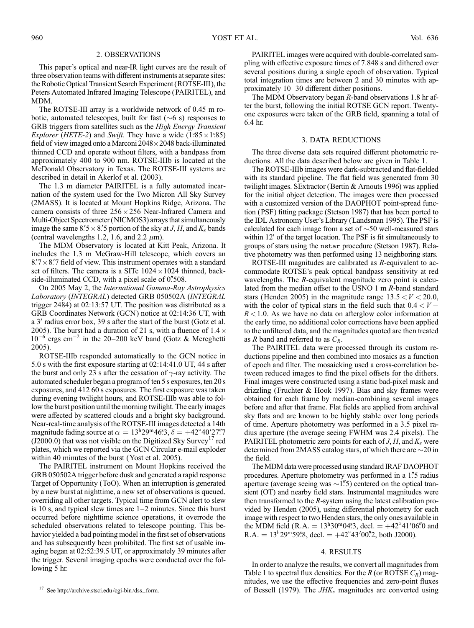#### 2. OBSERVATIONS

This paper's optical and near-IR light curves are the result of three observation teams with different instruments at separate sites: the Robotic Optical Transient Search Experiment (ROTSE-III ), the Peters Automated Infrared Imaging Telescope (PAIRITEL), and MDM.

The ROTSE-III array is a worldwide network of 0.45 m robotic, automated telescopes, built for fast  $(\sim 6 \text{ s})$  responses to GRB triggers from satellites such as the High Energy Transient *Explorer (HETE-2)* and *Swift*. They have a wide  $(1°85 \times 1°85)$ field of view imaged onto a Marconi  $2048\times 2048$  back-illuminated thinned CCD and operate without filters, with a bandpass from approximately 400 to 900 nm. ROTSE-IIIb is located at the McDonald Observatory in Texas. The ROTSE-III systems are described in detail in Akerlof et al. (2003).

The 1.3 m diameter PAIRITEL is a fully automated incarnation of the system used for the Two Micron All Sky Survey (2MASS). It is located at Mount Hopkins Ridge, Arizona. The camera consists of three  $256 \times 256$  Near-Infrared Camera and Multi-Object Spectrometer (NICMOS3) arrays that simultaneously image the same  $8.5 \times 8.5$  portion of the sky at J, H, and  $K_s$  bands (central wavelengths 1.2, 1.6, and 2.2  $\mu$ m).

The MDM Observatory is located at Kitt Peak, Arizona. It includes the 1.3 m McGraw-Hill telescope, which covers an  $8.7 \times 8.7$  field of view. This instrument operates with a standard set of filters. The camera is a SITe  $1024 \times 1024$  thinned, backside-illuminated CCD, with a pixel scale of  $0\rlap{.}''508$ .

On 2005 May 2, the International Gamma-Ray Astrophysics Laboratory (INTEGRAL) detected GRB 050502A (INTEGRAL trigger 2484) at 02:13:57 UT. The position was distributed as a GRB Coordinates Network (GCN ) notice at 02:14:36 UT, with a 3' radius error box, 39 s after the start of the burst (Gotz et al. 2005). The burst had a duration of 21 s, with a fluence of  $1.4 \times$  $10^{-6}$  ergs cm<sup>-2</sup> in the 20–200 keV band (Gotz & Mereghetti 2005).

ROTSE-IIIb responded automatically to the GCN notice in 5.0 s with the first exposure starting at 02:14:41.0 UT, 44 s after the burst and only 23 s after the cessation of  $\gamma$ -ray activity. The automated scheduler began a program of ten 5 s exposures, ten 20 s exposures, and 412 60 s exposures. The first exposure was taken during evening twilight hours, and ROTSE-IIIb was able to follow the burst position until the morning twilight. The early images were affected by scattered clouds and a bright sky background. Near-real-time analysis of the ROTSE-III images detected a 14th magnitude fading source at  $\alpha = 13^{\text{h}}29^{\text{m}}46.3$ ,  $\delta = +42^{\circ}40'27''7$ (J2000.0) that was not visible on the Digitized Sky Survey<sup>17</sup> red plates, which we reported via the GCN Circular e-mail exploder within 40 minutes of the burst (Yost et al. 2005).

The PAIRITEL instrument on Mount Hopkins received the GRB 050502A trigger before dusk and generated a rapid response Target of Opportunity (ToO). When an interruption is generated by a new burst at nighttime, a new set of observations is queued, overriding all other targets. Typical time from GCN alert to slew is 10 s, and typical slew times are 1–2 minutes. Since this burst occurred before nighttime science operations, it overrode the scheduled observations related to telescope pointing. This behavior yielded a bad pointing model in the first set of observations and has subsequently been prohibited. The first set of usable imaging began at 02:52:39.5 UT, or approximately 39 minutes after the trigger. Several imaging epochs were conducted over the following 5 hr.

PAIRITEL images were acquired with double-correlated sampling with effective exposure times of 7.848 s and dithered over several positions during a single epoch of observation. Typical total integration times are between 2 and 30 minutes with approximately 10–30 different dither positions.

The MDM Observatory began R-band observations 1.8 hr after the burst, following the initial ROTSE GCN report. Twentyone exposures were taken of the GRB field, spanning a total of 6.4 hr.

#### 3. DATA REDUCTIONS

The three diverse data sets required different photometric reductions. All the data described below are given in Table 1.

The ROTSE-IIIb images were dark-subtracted and flat-fielded with its standard pipeline. The flat field was generated from 30 twilight images. SExtractor (Bertin & Arnouts 1996) was applied for the initial object detection. The images were then processed with a customized version of the DAOPHOT point-spread function (PSF) fitting package (Stetson 1987) that has been ported to the IDL Astronomy User's Library (Landsman 1995). The PSF is calculated for each image from a set of  $\sim$  50 well-measured stars within  $12'$  of the target location. The PSF is fit simultaneously to groups of stars using the nstar procedure (Stetson 1987). Relative photometry was then performed using 13 neighboring stars.

ROTSE-III magnitudes are calibrated as R-equivalent to accommodate ROTSE's peak optical bandpass sensitivity at red wavelengths. The R-equivalent magnitude zero point is calculated from the median offset to the USNO 1 m R-band standard stars (Henden 2005) in the magnitude range  $13.5 < V < 20.0$ , with the color of typical stars in the field such that  $0.4 < V R < 1.0$ . As we have no data on afterglow color information at the early time, no additional color corrections have been applied to the unfiltered data, and the magnitudes quoted are then treated as  $R$  band and referred to as  $C_R$ .

The PAIRITEL data were processed through its custom reductions pipeline and then combined into mosaics as a function of epoch and filter. The mosaicking used a cross-correlation between reduced images to find the pixel offsets for the dithers. Final images were constructed using a static bad-pixel mask and drizzling (Fruchter & Hook 1997). Bias and sky frames were obtained for each frame by median-combining several images before and after that frame. Flat fields are applied from archival sky flats and are known to be highly stable over long periods of time. Aperture photometry was performed in a 3.5 pixel radius aperture (the average seeing FWHM was 2.4 pixels). The PAIRITEL photometric zero points for each of  $J, H$ , and  $K_s$  were determined from 2MASS catalog stars, of which there are  $\sim$  20 in the field.

The MDM data were processed using standard IRAF DAOPHOT procedures. Aperture photometry was performed in a 1"5 radius aperture (average seeing was  $\sim$ 1".5) centered on the optical transient (OT) and nearby field stars. Instrumental magnitudes were then transformed to the R-system using the latest calibration provided by Henden (2005), using differential photometry for each image with respect to two Henden stars, the only ones available in the MDM field (R.A. =  $13^{\text{h}}30^{\text{m}}04^{\text{s}}3$ , decl. =  $+42^{\circ}41'06''0$  and R.A. =  $13^{\text{h}}29^{\text{m}}59^{\text{s}}8$ , decl. =  $+42^{\circ}43'00\text{m/s}$ , both J2000).

#### 4. RESULTS

In order to analyze the results, we convert all magnitudes from Table 1 to spectral flux densities. For the R (or ROTSE  $C_R$ ) magnitudes, we use the effective frequencies and zero-point fluxes <sup>17</sup> See http://archive.stsci.edu/cgi-bin/dss\_form. of Bessell (1979). The JHK<sub>s</sub> magnitudes are converted using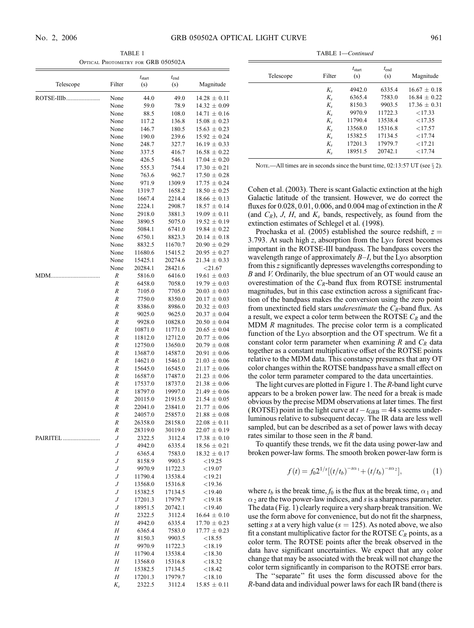TABLE 1 Optical Photometry for GRB 050502A

|            |                       | $t_{\text{start}}$ | $t_{\text{end}}$   |                                      |
|------------|-----------------------|--------------------|--------------------|--------------------------------------|
| Telescope  | Filter                | (s)                | (s)                | Magnitude                            |
| ROTSE-IIIb | None                  | 44.0               | 49.0               | $14.28 \pm 0.11$                     |
|            | None                  | 59.0               | 78.9               | $14.32 \pm 0.09$                     |
|            | None<br>None          | 88.5<br>117.2      | 108.0<br>136.8     | $14.71 \pm 0.16$<br>$15.08 \pm 0.23$ |
|            | None                  | 146.7              | 180.5              | $15.63 \pm 0.23$                     |
|            | None                  | 190.0              | 239.6              | $15.92 \pm 0.24$                     |
|            | None                  | 248.7              | 327.7              | $16.19 \pm 0.33$                     |
|            | None                  | 337.5              | 416.7              | $16.58 \pm 0.22$                     |
|            | None                  | 426.5              | 546.1              | $17.04 \pm 0.20$                     |
|            | None<br>None          | 555.3<br>763.6     | 754.4<br>962.7     | $17.30 \pm 0.21$<br>$17.50 \pm 0.28$ |
|            | None                  | 971.9              | 1309.9             | $17.75 \pm 0.24$                     |
|            | None                  | 1319.7             | 1658.2             | $18.50 \pm 0.25$                     |
|            | None                  | 1667.4             | 2214.4             | $18.66 \pm 0.13$                     |
|            | None                  | 2224.1             | 2908.7             | $18.57 \pm 0.14$                     |
|            | None                  | 2918.0             | 3881.3             | $19.09 \pm 0.11$                     |
|            | None<br>None          | 3890.5<br>5084.1   | 5075.0<br>6741.0   | $19.52 \pm 0.19$<br>$19.84 \pm 0.22$ |
|            | None                  | 6750.1             | 8823.3             | $20.14 \pm 0.18$                     |
|            | None                  | 8832.5             | 11670.7            | $20.90 \pm 0.29$                     |
|            | None                  | 11680.6            | 15415.2            | $20.95 \pm 0.27$                     |
|            | None                  | 15425.1            | 20274.6            | $21.34 \pm 0.33$                     |
|            | None                  | 20284.1            | 28421.6            | $<$ 21.67                            |
| MDM.       | R<br>R                | 5816.0<br>6458.0   | 6416.0             | $19.61 \pm 0.03$<br>$19.79 \pm 0.03$ |
|            | R                     | 7105.0             | 7058.0<br>7705.0   | $20.03 \pm 0.03$                     |
|            | R                     | 7750.0             | 8350.0             | $20.17 \pm 0.03$                     |
|            | R                     | 8386.0             | 8986.0             | $20.32 \pm 0.03$                     |
|            | R                     | 9025.0             | 9625.0             | $20.37 \pm 0.04$                     |
|            | R                     | 9928.0             | 10828.0            | $20.50 \pm 0.04$                     |
|            | R<br>R                | 10871.0            | 11771.0            | $20.65 \pm 0.04$<br>$20.77 \pm 0.06$ |
|            | R                     | 11812.0<br>12750.0 | 12712.0<br>13650.0 | $20.79 \pm 0.08$                     |
|            | R                     | 13687.0            | 14587.0            | $20.91 \pm 0.06$                     |
|            | R                     | 14621.0            | 15461.0            | $21.03 \pm 0.06$                     |
|            | R                     | 15645.0            | 16545.0            | $21.17 \pm 0.06$                     |
|            | R                     | 16587.0            | 17487.0            | $21.23 \pm 0.06$                     |
|            | R<br>R                | 17537.0<br>18797.0 | 18737.0<br>19997.0 | $21.38 \pm 0.06$<br>$21.49 \pm 0.06$ |
|            | $\cal R$              | 20115.0            | 21915.0            | $21.54 \pm 0.05$                     |
|            | $\cal R$              | 22041.0            | 23841.0            | $21.77 \pm 0.06$                     |
|            | R                     | 24057.0            | 25857.0            | $21.88 \pm 0.08$                     |
|            | R                     | 26358.0            | 28158.0            | $22.08 \pm 0.11$                     |
|            | R                     | 28319.0            | 30119.0            | $22.07 \pm 0.19$                     |
| PAIRITEL   | $\boldsymbol{J}$<br>J | 2322.5<br>4942.0   | 3112.4<br>6335.4   | $17.38 \pm 0.10$<br>$18.56 \pm 0.21$ |
|            | $\boldsymbol{J}$      | 6365.4             | 7583.0             | $18.32 \pm 0.17$                     |
|            | $\cal J$              | 8158.9             | 9903.5             | $<$ 19.25                            |
|            | J                     | 9970.9             | 11722.3            | $<$ 19.07                            |
|            | $\cal J$              | 11790.4            | 13538.4            | $<$ 19.21                            |
|            | $\cal J$<br>J         | 13568.0<br>15382.5 | 15316.8<br>17134.5 | $<$ 19.36<br>$<$ 19.40               |
|            | $\boldsymbol{J}$      | 17201.3            | 17979.7            | $<$ 19.18                            |
|            | $\cal J$              | 18951.5            | 20742.1            | $<$ 19.40                            |
|            | Н                     | 2322.5             | 3112.4             | $16.64 \pm 0.10$                     |
|            | $\cal H$              | 4942.0             | 6335.4             | $17.70 \pm 0.23$                     |
|            | Н                     | 6365.4             | 7583.0             | $17.77 \pm 0.23$                     |
|            | H<br>Н                | 8150.3<br>9970.9   | 9903.5<br>11722.3  | < 18.55<br>< 18.19                   |
|            | Н                     | 11790.4            | 13538.4            | < 18.30                              |
|            | $\cal H$              | 13568.0            | 15316.8            | < 18.32                              |
|            | $\cal H$              | 15382.5            | 17134.5            | < 18.42                              |
|            | Н                     | 17201.3            | 17979.7            | < 18.10                              |
|            | $K_{\rm s}$           | 2322.5             | 3112.4             | $15.85 \pm 0.11$                     |

TABLE 1—Continued

| Telescope | Filter      | $t_{\text{start}}$<br>(s) | $t_{\text{end}}$<br>(s) | Magnitude        |
|-----------|-------------|---------------------------|-------------------------|------------------|
|           | $K_{s}$     | 4942.0                    | 6335.4                  | $16.67 \pm 0.18$ |
|           | $K_{s}$     | 6365.4                    | 7583.0                  | $16.84 + 0.22$   |
|           | $K_{s}$     | 8150.3                    | 9903.5                  | $17.36 + 0.31$   |
|           | $K_{s}$     | 9970.9                    | 11722.3                 | < 17.33          |
|           | $K_{s}$     | 11790.4                   | 13538.4                 | <17.35           |
|           | $K_{s}$     | 13568.0                   | 15316.8                 | <17.57           |
|           | $K_{s}$     | 15382.5                   | 17134.5                 | < 17.74          |
|           | $K_{\rm s}$ | 17201.3                   | 17979.7                 | <17.21           |
|           | $K_{s}$     | 18951.5                   | 20742.1                 | < 17.74          |

NOTE.—All times are in seconds since the burst time,  $02:13:57$  UT (see  $\S 2$ ).

Cohen et al. (2003). There is scant Galactic extinction at the high Galactic latitude of the transient. However, we do correct the fluxes for 0.028, 0.01, 0.006, and 0.004 mag of extinction in the R (and  $C_R$ ), J, H, and  $K_s$  bands, respectively, as found from the extinction estimates of Schlegel et al. (1998).

Prochaska et al. (2005) established the source redshift,  $z =$ 3.793. At such high z, absorption from the  $Ly\alpha$  forest becomes important in the ROTSE-III bandpass. The bandpass covers the wavelength range of approximately  $B-I$ , but the Ly $\alpha$  absorption from this z significantly depresses wavelengths corresponding to B and V. Ordinarily, the blue spectrum of an OT would cause an overestimation of the  $C_R$ -band flux from ROTSE instrumental magnitudes, but in this case extinction across a significant fraction of the bandpass makes the conversion using the zero point from unextincted field stars *underestimate* the  $C_R$ -band flux. As a result, we expect a color term between the ROTSE  $C_R$  and the MDM R magnitudes. The precise color term is a complicated function of the Ly $\alpha$  absorption and the OT spectrum. We fit a constant color term parameter when examining R and  $C_R$  data together as a constant multiplicative offset of the ROTSE points relative to the MDM data. This constancy presumes that any OT color changes within the ROTSE bandpass have a small effect on the color term parameter compared to the data uncertainties.

The light curves are plotted in Figure 1. The R-band light curve appears to be a broken power law. The need for a break is made obvious by the precise MDM observations at later times. The first (ROTSE) point in the light curve at  $t-t_{\rm GRB} = 44$  s seems underluminous relative to subsequent decay. The IR data are less well sampled, but can be described as a set of power laws with decay rates similar to those seen in the R band.

To quantify these trends, we fit the data using power-law and broken power-law forms. The smooth broken power-law form is

$$
f(t) = f_0 2^{1/s} [(t/t_b)^{-s\alpha_1} + (t/t_b)^{-s\alpha_2}], \qquad (1)
$$

where  $t_b$  is the break time,  $f_0$  is the flux at the break time,  $\alpha_1$  and  $\alpha_2$  are the two power-law indices, and s is a sharpness parameter. The data (Fig. 1) clearly require a very sharp break transition. We use the form above for convenience, but do not fit the sharpness, setting s at a very high value ( $s = 125$ ). As noted above, we also fit a constant multiplicative factor for the ROTSE  $C_R$  points, as a color term. The ROTSE points after the break observed in the data have significant uncertainties. We expect that any color change that may be associated with the break will not change the color term significantly in comparison to the ROTSE error bars.

The ''separate'' fit uses the form discussed above for the R-band data and individual power laws for each IR band (there is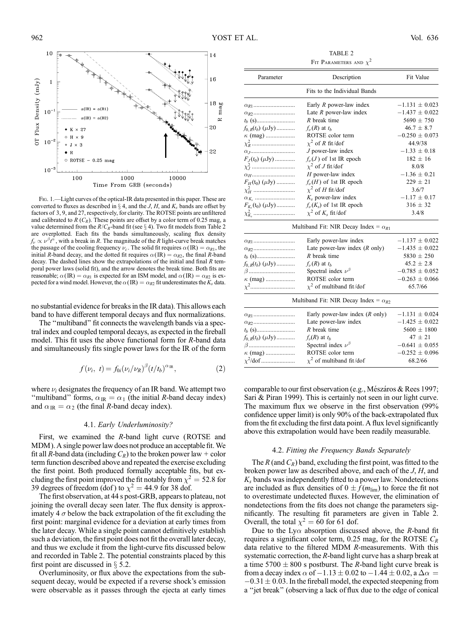

Fig. 1.—Light curves of the optical-IR data presented in this paper. These are converted to fluxes as described in  $\S$  4, and the *J*, *H*, and  $K_s$  bands are offset by factors of 3, 9, and 27, respectively, for clarity. The ROTSE points are unfiltered and calibrated to  $R$  ( $C_R$ ). These points are offset by a color term of 0.25 mag, a value determined from the  $R/C_R$ -band fit (see § 4). Two fit models from Table 2 are overplotted. Each fits the bands simultaneously, scaling flux density  $f_{\nu} \propto \nu^{\beta} t^{\alpha}$ , with a break in R. The magnitude of the R light-curve break matches the passage of the cooling frequency  $\nu_c$ . The solid fit requires  $\alpha$  (IR) =  $\alpha_{R1}$ , the initial R-band decay, and the dotted fit requires  $\alpha$ (IR) =  $\alpha$ <sub>R2</sub>, the final R-band decay. The dashed lines show the extrapolations of the initial and final  $R$  temporal power laws (solid fit), and the arrow denotes the break time. Both fits are reasonable;  $\alpha$ (IR) =  $\alpha_{R1}$  is expected for an ISM model, and  $\alpha$ (IR) =  $\alpha_{R2}$  is expected for a wind model. However, the  $\alpha$  (IR) =  $\alpha_{R2}$  fit underestimates the K<sub>s</sub> data.

no substantial evidence for breaks in the IR data). This allows each band to have different temporal decays and flux normalizations.

The ''multiband'' fit connects the wavelength bands via a spectral index and coupled temporal decays, as expected in the fireball model. This fit uses the above functional form for R-band data and simultaneously fits single power laws for the IR of the form

$$
f(\nu_i, t) = f_{0i}(\nu_i/\nu_R)^{\beta} (t/t_b)^{\alpha_{\rm IR}}, \qquad (2)
$$

where  $\nu_i$  designates the frequency of an IR band. We attempt two "multiband" forms,  $\alpha_{IR} = \alpha_1$  (the initial R-band decay index) and  $\alpha_{IR} = \alpha_2$  (the final R-band decay index).

#### 4.1. Early Underluminosity?

First, we examined the R-band light curve (ROTSE and MDM ). A single power law does not produce an acceptable fit.We fit all R-band data (including  $C_R$ ) to the broken power law + color term function described above and repeated the exercise excluding the first point. Both produced formally acceptable fits, but excluding the first point improved the fit notably from  $\chi^2 = 52.8$  for 39 degrees of freedom (dof) to  $\chi^2 = 44.9$  for 38 dof.

The first observation, at 44 s post-GRB, appears to plateau, not joining the overall decay seen later. The flux density is approximately 4  $\sigma$  below the back extrapolation of the fit excluding the first point: marginal evidence for a deviation at early times from the later decay. While a single point cannot definitively establish such a deviation, the first point does not fit the overall later decay, and thus we exclude it from the light-curve fits discussed below and recorded in Table 2. The potential constraints placed by this first point are discussed in  $\S$  5.2.

Overluminosity, or flux above the expectations from the subsequent decay, would be expected if a reverse shock's emission were observable as it passes through the ejecta at early times

TABLE 2 FIT PARAMETERS AND  $\chi^2$ 

| Parameter                  | Description                                    | Fit Value          |  |  |  |  |
|----------------------------|------------------------------------------------|--------------------|--|--|--|--|
|                            | Fits to the Individual Bands                   |                    |  |  |  |  |
|                            | Early $R$ power-law index                      | $-1.131 \pm 0.023$ |  |  |  |  |
|                            | Late $R$ power-law index                       | $-1.437 \pm 0.022$ |  |  |  |  |
| $t_b$ (s)                  | $R$ break time                                 | $5690 \pm 750$     |  |  |  |  |
| $f_{0,R}(t_b)$ ( $\mu$ Jy) | $f_{\nu}(R)$ at $t_h$                          | $46.7 \pm 8.7$     |  |  |  |  |
|                            | ROTSE color term                               | $-0.250 \pm 0.073$ |  |  |  |  |
|                            | $\chi^2$ of R fit/dof                          | 44.9/38            |  |  |  |  |
|                            | $J$ power-law index                            | $-1.33 \pm 0.18$   |  |  |  |  |
| $F_J(t_0)$ ( $\mu$ Jy)     | $f_{\nu}(J)$ of 1st IR epoch                   | $182 \pm 16$       |  |  |  |  |
|                            | $\chi^2$ of J fit/dof                          | 8.0/8              |  |  |  |  |
| $\alpha$ <sub>H</sub>      | $H$ power-law index                            | $-1.36 \pm 0.21$   |  |  |  |  |
| $F_H(t_0)$ ( $\mu$ Jy)     | $f_{\nu}(H)$ of 1st IR epoch                   | $229 \pm 21$       |  |  |  |  |
| $\chi^2_H$                 | $\chi^2$ of H fit/dof                          | 3.6/7              |  |  |  |  |
|                            | $K_s$ power-law index                          | $-1.17 \pm 0.17$   |  |  |  |  |
| $F_{K_s}(t_0)$ ( $\mu$ Jy) | $f_{\nu}(K_s)$ of 1st IR epoch                 | $316 \pm 32$       |  |  |  |  |
|                            | $\chi^2$ of $K_s$ fit/dof                      | 3.4/8              |  |  |  |  |
|                            | Multiband Fit: NIR Decay Index = $\alpha_{R1}$ |                    |  |  |  |  |
|                            | Early power-law index                          | $-1.137 \pm 0.022$ |  |  |  |  |
|                            | Late power-law index $(R \text{ only})$        | $-1.435 \pm 0.022$ |  |  |  |  |
|                            | $R$ break time                                 | $5830 \pm 250$     |  |  |  |  |
| $f_{0,R}(t_b)$ ( $\mu$ Jy) | $f_{\nu}(R)$ at $t_h$                          | $45.2 \pm 2.8$     |  |  |  |  |
| $\beta$                    | Spectral index $\nu^{\beta}$                   | $-0.785 \pm 0.052$ |  |  |  |  |
| $\kappa$ (mag)             | ROTSE color term                               | $-0.263 \pm 0.066$ |  |  |  |  |
| $\chi^2$                   | $\chi^2$ of multiband fit/dof                  | 65.7/66            |  |  |  |  |
|                            | Multiband Fit: NIR Decay Index = $\alpha_{R2}$ |                    |  |  |  |  |
|                            | Early power-law index $(R \text{ only})$       | $-1.131 \pm 0.024$ |  |  |  |  |
|                            | Late power-law index                           | $-1.425 \pm 0.022$ |  |  |  |  |
| $t_b$ (s)                  | $R$ break time                                 | $5600 \pm 1800$    |  |  |  |  |
| $f_{0,R}(t_b)$ ( $\mu$ Jy) | $f_{\nu}(R)$ at $t_h$                          | $47 \pm 21$        |  |  |  |  |
| $\beta$                    | Spectral index $\nu^{\beta}$                   | $-0.641 \pm 0.055$ |  |  |  |  |
| $\kappa$ (mag)             | ROTSE color term                               | $-0.252 \pm 0.096$ |  |  |  |  |
| $\chi^2$ /dof              | $\chi^2$ of multiband fit/dof                  | 68.2/66            |  |  |  |  |

comparable to our first observation (e.g., Mészáros & Rees 1997; Sari & Piran 1999). This is certainly not seen in our light curve. The maximum flux we observe in the first observation (99% confidence upper limit) is only 90% of the back-extrapolated flux from the fit excluding the first data point. A flux level significantly above this extrapolation would have been readily measurable.

#### 4.2. Fitting the Frequency Bands Separately

The R (and  $C_R$ ) band, excluding the first point, was fitted to the broken power law as described above, and each of the J, H, and  $K<sub>s</sub>$  bands was independently fitted to a power law. Nondetections are included as flux densities of  $0 \pm f(m_{\text{lim}})$  to force the fit not to overestimate undetected fluxes. However, the elimination of nondetections from the fits does not change the parameters significantly. The resulting fit parameters are given in Table 2. Overall, the total  $\chi^2 = 60$  for 61 dof.

Due to the Ly $\alpha$  absorption discussed above, the R-band fit requires a significant color term, 0.25 mag, for the ROTSE  $C_R$ data relative to the filtered MDM R-measurements. With this systematic correction, the R-band light curve has a sharp break at a time  $5700 \pm 800$  s postburst. The R-band light curve break is from a decay index  $\alpha$  of  $-1.13 \pm 0.02$  to  $-1.44 \pm 0.02$ , a  $\Delta \alpha =$  $-0.31 \pm 0.03$ . In the fireball model, the expected steepening from a ''jet break'' (observing a lack of flux due to the edge of conical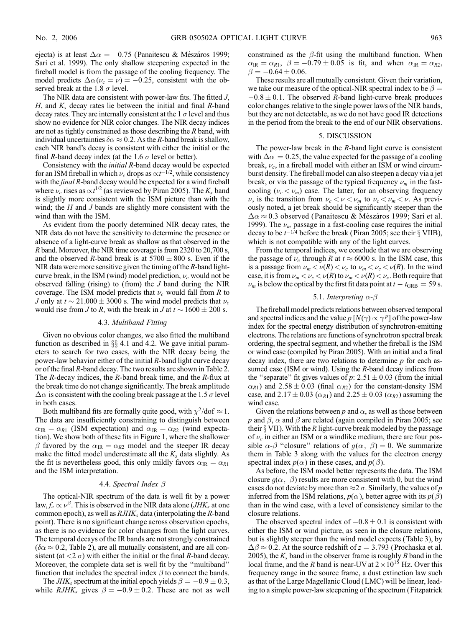ejecta) is at least  $\Delta \alpha = -0.75$  (Panaitescu & Mészáros 1999; Sari et al. 1999). The only shallow steepening expected in the fireball model is from the passage of the cooling frequency. The model predicts  $\Delta \alpha (\nu_c = \nu) = -0.25$ , consistent with the observed break at the 1.8  $\sigma$  level.

The NIR data are consistent with power-law fits. The fitted J, H, and  $K_s$  decay rates lie between the initial and final R-band decay rates. They are internally consistent at the 1  $\sigma$  level and thus show no evidence for NIR color changes. The NIR decay indices are not as tightly constrained as those describing the R band, with individual uncertainties  $\delta \alpha \approx 0.2$ . As the R-band break is shallow, each NIR band's decay is consistent with either the initial or the final R-band decay index (at the 1.6  $\sigma$  level or better).

Consistency with the initial R-band decay would be expected for an ISM fireball in which  $\nu_c$  drops as  $\propto t^{-1/2}$ , while consistency with the final R-band decay would be expected for a wind fireball where  $\nu_c$  rises as  $\propto t^{1/2}$  (as reviewed by Piran 2005). The  $K_s$  band is slightly more consistent with the ISM picture than with the wind; the  $H$  and  $J$  bands are slightly more consistent with the wind than with the ISM.

As evident from the poorly determined NIR decay rates, the NIR data do not have the sensitivity to determine the presence or absence of a light-curve break as shallow as that observed in the R band. Moreover, the NIR time coverage is from 2320 to 20,700 s, and the observed R-band break is at  $5700 \pm 800$  s. Even if the NIR data were more sensitive given the timing of the  $R$ -band lightcurve break, in the ISM (wind) model prediction,  $\nu_c$  would not be observed falling (rising) to (from) the  $J$  band during the NIR coverage. The ISM model predicts that  $\nu_c$  would fall from R to *J* only at  $t \sim 21{,}000 \pm 3000$  s. The wind model predicts that  $\nu_c$ would rise from *J* to *R*, with the break in *J* at  $t \sim 1600 \pm 200$  s.

#### 4.3. Multiband Fitting

Given no obvious color changes, we also fitted the multiband function as described in  $\S$  4.1 and 4.2. We gave initial parameters to search for two cases, with the NIR decay being the power-law behavior either of the initial  $R$ -band light curve decay or of the final R-band decay. The two results are shown in Table 2. The R-decay indices, the R-band break time, and the R-flux at the break time do not change significantly. The break amplitude  $\Delta \alpha$  is consistent with the cooling break passage at the 1.5  $\sigma$  level in both cases.

Both multiband fits are formally quite good, with  $\chi^2$ /dof  $\approx 1$ . The data are insufficiently constraining to distinguish between  $\alpha_{\text{IR}} = \alpha_{\text{RI}}$  (ISM expectation) and  $\alpha_{\text{IR}} = \alpha_{\text{R2}}$  (wind expectation). We show both of these fits in Figure 1, where the shallower  $\beta$  favored by the  $\alpha_{IR} = \alpha_{R2}$  model and the steeper IR decay make the fitted model underestimate all the  $K_s$  data slightly. As the fit is nevertheless good, this only mildly favors  $\alpha_{IR} = \alpha_{R1}$ and the ISM interpretation.

#### 4.4. Spectral Index  $\beta$

The optical-NIR spectrum of the data is well fit by a power law,  $f_{\nu} \propto \nu^{\beta}$ . This is observed in the NIR data alone (*JHK*<sub>s</sub> at one common epoch), as well as  $RJHK<sub>s</sub>$  data (interpolating the R-band point). There is no significant change across observation epochs, as there is no evidence for color changes from the light curves. The temporal decays of the IR bands are not strongly constrained  $(\delta \alpha \approx 0.2,$  Table 2), are all mutually consistent, and are all consistent (at  $\langle 2 \sigma \rangle$ ) with either the initial or the final R-band decay. Moreover, the complete data set is well fit by the ''multiband'' function that includes the spectral index  $\beta$  to connect the bands.

The *JHK*<sub>s</sub> spectrum at the initial epoch yields  $\beta = -0.9 \pm 0.3$ , while  $RJHK<sub>s</sub>$  gives  $\beta = -0.9 \pm 0.2$ . These are not as well constrained as the  $\beta$ -fit using the multiband function. When  $\alpha_{IR} = \alpha_{R1}, \ \beta = -0.79 \pm 0.05$  is fit, and when  $\alpha_{IR} = \alpha_{R2},$  $\beta = -0.64 \pm 0.06$ .

These results are all mutually consistent. Given their variation, we take our measure of the optical-NIR spectral index to be  $\beta =$  $-0.8 \pm 0.1$ . The observed R-band light-curve break produces color changes relative to the single power laws of the NIR bands, but they are not detectable, as we do not have good IR detections in the period from the break to the end of our NIR observations.

#### 5. DISCUSSION

The power-law break in the  $R$ -band light curve is consistent with  $\Delta \alpha = 0.25$ , the value expected for the passage of a cooling break,  $\nu_c$ , in a fireball model with either an ISM or wind circumburst density. The fireball model can also steepen a decay via a jet break, or via the passage of the typical frequency  $\nu_m$  in the fastcooling ( $\nu_c < \nu_m$ ) case. The latter, for an observing frequency  $\nu$ , is the transition from  $\nu_c < \nu < \nu_m$  to  $\nu_c < \nu_m < \nu$ . As previously noted, a jet break should be significantly steeper than the  $\Delta \alpha \approx 0.3$  observed (Panaitescu & Mészáros 1999; Sari et al. 1999). The  $\nu_m$  passage in a fast-cooling case requires the initial decay to be  $t^{-1/4}$  before the break (Piran 2005; see their  $\S$  VIIB), which is not compatible with any of the light curves.

From the temporal indices, we conclude that we are observing the passage of  $\nu_c$  through R at  $t \approx 6000$  s. In the ISM case, this is a passage from  $\nu_m < \nu(R) < \nu_c$  to  $\nu_m < \nu_c < \nu(R)$ . In the wind case, it is from  $\nu_m < \nu_c < \nu(R)$  to  $\nu_m < \nu(R) < \nu_c$ . Both require that  $\nu_m$  is below the optical by the first fit data point at  $t - t_{\text{GRB}} = 59$  s.

#### 5.1. Interpreting  $\alpha$ - $\beta$

The fireball model predicts relations between observed temporal and spectral indices and the value  $p [N(\gamma) \propto \gamma^p]$  of the power-law index for the spectral energy distribution of synchrotron-emitting electrons. The relations are functions of synchrotron spectral break ordering, the spectral segment, and whether the fireball is the ISM or wind case (compiled by Piran 2005). With an initial and a final decay index, there are two relations to determine  $p$  for each assumed case (ISM or wind). Using the  $R$ -band decay indices from the "separate" fit gives values of  $p: 2.51 \pm 0.03$  (from the initial  $\alpha_{R1}$ ) and  $2.58 \pm 0.03$  (final  $\alpha_{R2}$ ) for the constant-density ISM case, and 2.17  $\pm$  0.03 ( $\alpha_{R1}$ ) and 2.25  $\pm$  0.03 ( $\alpha_{R2}$ ) assuming the wind case.

Given the relations between p and  $\alpha$ , as well as those between p and  $\beta$ ,  $\alpha$  and  $\beta$  are related (again compiled in Piran 2005; see their  $\S$  VII). With the R light-curve break modeled by the passage of  $\nu_c$  in either an ISM or a windlike medium, there are four possible  $\alpha$ - $\beta$  "closure" relations of  $q(\alpha, \beta) = 0$ . We summarize them in Table 3 along with the values for the electron energy spectral index  $p(\alpha)$  in these cases, and  $p(\beta)$ .

As before, the ISM model better represents the data. The ISM closure  $g(\alpha, \beta)$  results are more consistent with 0, but the wind cases do not deviate by more than  $\approx$  2  $\sigma$ . Similarly, the values of p inferred from the ISM relations,  $p(\alpha)$ , better agree with its  $p(\beta)$ than in the wind case, with a level of consistency similar to the closure relations.

The observed spectral index of  $-0.8 \pm 0.1$  is consistent with either the ISM or wind picture, as seen in the closure relations, but is slightly steeper than the wind model expects (Table 3), by  $\Delta\beta \approx 0.2$ . At the source redshift of  $z = 3.793$  (Prochaska et al. 2005), the  $K_s$  band in the observer frame is roughly B band in the local frame, and the R band is near-UV at  $2 \times 10^{15}$  Hz. Over this frequency range in the source frame, a dust extinction law such as that of the Large Magellanic Cloud (LMC) will be linear, leading to a simple power-law steepening of the spectrum (Fitzpatrick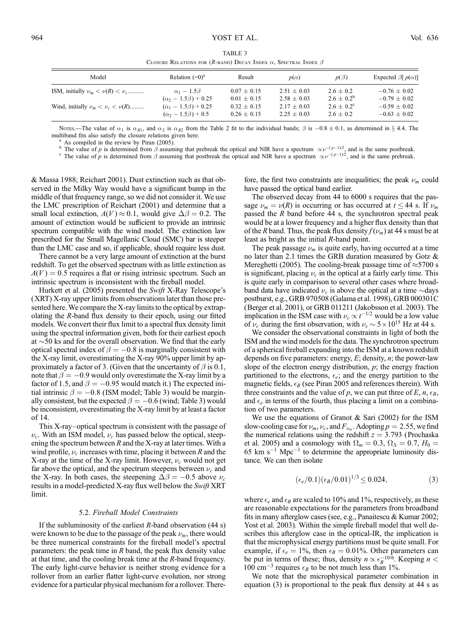| CLOSURE INFERENCES FOR $(n, b)$ DECRET INDEX $\alpha$ , DECIMILE INDEX $\beta$ |                                |                 |                 |                       |                             |  |  |
|--------------------------------------------------------------------------------|--------------------------------|-----------------|-----------------|-----------------------|-----------------------------|--|--|
| Model                                                                          | Relation $(=0)$ <sup>a</sup>   | Result          | $p(\alpha)$     | $p(\beta)$            | Expected $\beta[p(\alpha)]$ |  |  |
| ISM, initially $\nu_m < \nu(R) < \nu_c$                                        | $\alpha_1-1.5\beta$            | $0.07 \pm 0.15$ | $2.51 + 0.03$   | $2.6 + 0.2$           | $-0.76 + 0.02$              |  |  |
|                                                                                | $(\alpha_2 - 1.5\beta) + 0.25$ | $0.01 \pm 0.15$ | $2.58 + 0.03$   | $2.6 + 0.2^b$         | $-0.79 + 0.02$              |  |  |
| Wind, initially $\nu_m < \nu_c < \nu(R)$                                       | $(\alpha_1 - 1.5\beta) + 0.25$ | $0.32 \pm 0.15$ | $2.17 \pm 0.03$ | $2.6 \pm 0.2^{\circ}$ | $-0.59 \pm 0.02$            |  |  |
|                                                                                | $(\alpha_2 - 1.5\beta) + 0.5$  | $0.26 \pm 0.15$ | $2.25 + 0.03$   | $2.6 + 0.2$           | $-0.63 \pm 0.02$            |  |  |

TABLE 3 CLOSURE RELATIONS FOR  $(R_{\text{PAND}})$  Decay Index  $\alpha$ , Spectral Index  $\beta$ 

Notes.—The value of  $\alpha_1$  is  $\alpha_{R1}$ , and  $\alpha_2$  is  $\alpha_{R2}$  from the Table 2 fit to the individual bands;  $\beta$  is  $-0.8 \pm 0.1$ , as determined in § 4.4. The multiband fits also satisfy the closure relations given here.<br><sup>a</sup> As compiled in the review by Piran (2005).<br><sup>b</sup> The value of p is determined from  $\beta$  assuming that prebreak the optical and NIR have a spectrum  $\propto \nu^{-(p-$ 

<sup>b</sup> The value of p is determined from  $\beta$  assuming that prebreak the optical and NIR have a spectrum  $\propto \nu^{-(p-1)/2}$ , and is the same prebreak.

& Massa 1988; Reichart 2001). Dust extinction such as that observed in the Milky Way would have a significant bump in the middle of that frequency range, so we did not consider it. We use the LMC prescription of Reichart (2001) and determine that a small local extinction,  $A(V) \approx 0.1$ , would give  $\Delta \beta = 0.2$ . The amount of extinction would be sufficient to provide an intrinsic spectrum compatible with the wind model. The extinction law prescribed for the Small Magellanic Cloud (SMC) bar is steeper than the LMC case and so, if applicable, should require less dust.

There cannot be a very large amount of extinction at the burst redshift. To get the observed spectrum with as little extinction as  $A(V) = 0.5$  requires a flat or rising intrinsic spectrum. Such an intrinsic spectrum is inconsistent with the fireball model.

Hurkett et al. (2005) presented the Swift X-Ray Telescope's (XRT) X-ray upper limits from observations later than those presented here. We compare the X-ray limits to the optical by extrapolating the R-band flux density to their epoch, using our fitted models. We convert their flux limit to a spectral flux density limit using the spectral information given, both for their earliest epoch at  $\sim$  50 ks and for the overall observation. We find that the early optical spectral index of  $\beta = -0.8$  is marginally consistent with the X-ray limit, overestimating the X-ray 90% upper limit by approximately a factor of 3. (Given that the uncertainty of  $\beta$  is 0.1, note that  $\beta = -0.9$  would only overestimate the X-ray limit by a factor of 1.5, and  $\beta = -0.95$  would match it.) The expected initial intrinsic  $\beta = -0.8$  (ISM model; Table 3) would be marginally consistent, but the expected  $\beta = -0.6$  (wind; Table 3) would be inconsistent, overestimating the X-ray limit by at least a factor of 14.

This X-ray–optical spectrum is consistent with the passage of  $\nu_c$ . With an ISM model,  $\nu_c$  has passed below the optical, steepening the spectrum between  $R$  and the X-ray at later times. With a wind profile,  $\nu_c$  increases with time, placing it between R and the X-ray at the time of the X-ray limit. However,  $\nu_c$  would not get far above the optical, and the spectrum steepens between  $\nu_c$  and the X-ray. In both cases, the steepening  $\Delta \beta = -0.5$  above  $\nu_c$ results in a model-predicted X-ray flux well below the Swift XRT limit.

#### 5.2. Fireball Model Constraints

If the subluminosity of the earliest  $R$ -band observation (44 s) were known to be due to the passage of the peak  $\nu_m$ , there would be three numerical constraints for the fireball model's spectral parameters: the peak time in  $R$  band, the peak flux density value at that time, and the cooling break time at the R-band frequency. The early light-curve behavior is neither strong evidence for a rollover from an earlier flatter light-curve evolution, nor strong evidence for a particular physical mechanism for a rollover. There-

fore, the first two constraints are inequalities; the peak  $\nu_m$  could have passed the optical band earlier.

The observed decay from 44 to 6000 s requires that the passage  $\nu_m = \nu(R)$  is occurring or has occurred at  $t \leq 44$  s. If  $\nu_m$ passed the  $R$  band before 44 s, the synchrotron spectral peak would be at a lower frequency and a higher flux density than that of the *R* band. Thus, the peak flux density  $f(\nu_m)$  at 44 s must be at least as bright as the initial R-band point.

The peak passage  $\nu_m$  is quite early, having occurred at a time no later than 2.1 times the GRB duration measured by Gotz & Mereghetti (2005). The cooling-break passage time of  $\approx$  5700 s is significant, placing  $\nu_c$  in the optical at a fairly early time. This is quite early in comparison to several other cases where broadband data have indicated  $\nu_c$  is above the optical at a time  $\sim$ days postburst, e.g., GRB 970508 (Galama et al. 1998), GRB 000301C (Berger et al. 2001), or GRB 011211 (Jakobsson et al. 2003). The implication in the ISM case with  $\nu_c \propto t^{-1/2}$  would be a low value of  $\nu_c$  during the first observation, with  $\nu_c \sim 5 \times 10^{15}$  Hz at 44 s.

We consider the observational constraints in light of both the ISM and the wind models for the data. The synchrotron spectrum of a spherical fireball expanding into the ISM at a known redshift depends on five parameters: energy,  $E$ ; density,  $n$ ; the power-law slope of the electron energy distribution,  $p$ ; the energy fraction partitioned to the electrons,  $\epsilon_e$ ; and the energy partition to the magnetic fields,  $\epsilon_B$  (see Piran 2005 and references therein). With three constraints and the value of p, we can put three of E,  $n$ ,  $\epsilon_B$ , and  $\epsilon_e$  in terms of the fourth, thus placing a limit on a combination of two parameters.

We use the equations of Granot  $\&$  Sari (2002) for the ISM slow-cooling case for  $\nu_m$ ,  $\nu_c$ , and  $F_{\nu_m}$ . Adopting  $p = 2.55$ , we find the numerical relations using the redshift  $z = 3.793$  (Prochaska et al. 2005) and a cosmology with  $\Omega_m = 0.3$ ,  $\Omega_{\Lambda} = 0.7$ ,  $H_0 =$ 65 km  $s^{-1}$  Mpc<sup>-1</sup> to determine the appropriate luminosity distance. We can then isolate

$$
(\epsilon_e/0.1)(\epsilon_B/0.01)^{1/3} \le 0.024,\tag{3}
$$

where  $\epsilon_e$  and  $\epsilon_B$  are scaled to 10% and 1%, respectively, as these are reasonable expectations for the parameters from broadband fits in many afterglow cases (see, e.g., Panaitescu & Kumar 2002; Yost et al. 2003). Within the simple fireball model that well describes this afterglow case in the optical-IR, the implication is that the microphysical energy partitions must be quite small. For example, if  $\epsilon_e = 1\%$ , then  $\epsilon_B = 0.01\%$ . Other parameters can be put in terms of these; thus, density  $n \propto \epsilon_B^{-10/6}$ . Keeping  $n <$ 100 cm<sup>-3</sup> requires  $\epsilon_B$  to be not much less than 1%.

We note that the microphysical parameter combination in equation (3) is proportional to the peak flux density at 44 s as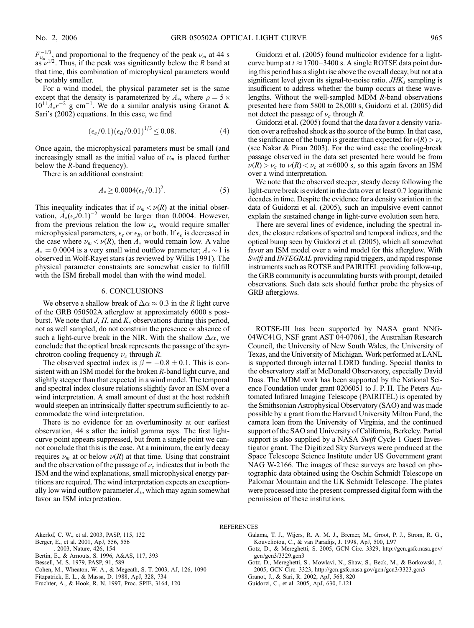$F_{\nu_{m-1/2}}^{-1/3}$  and proportional to the frequency of the peak  $\nu_m$  at 44 s as  $\nu^{1/2}$ . Thus, if the peak was significantly below the R band at that time, this combination of microphysical parameters would be notably smaller.

For a wind model, the physical parameter set is the same except that the density is parameterized by  $A_*$ , where  $\rho = 5 \times$  $10^{11}A_{*}r^{-2}$  g cm<sup>-1</sup>. We do a similar analysis using Granot & Sari's (2002) equations. In this case, we find

$$
(\epsilon_e/0.1)(\epsilon_B/0.01)^{1/3} \le 0.08. \tag{4}
$$

Once again, the microphysical parameters must be small (and increasingly small as the initial value of  $\nu_m$  is placed further below the R-band frequency).

There is an additional constraint:

$$
A_* \ge 0.0004(\epsilon_e/0.1)^2. \tag{5}
$$

This inequality indicates that if  $\nu_m < \nu(R)$  at the initial observation,  $\hat{A}_*(\epsilon_e/0.1)^{-2}$  would be larger than 0.0004. However, from the previous relation the low  $\nu_m$  would require smaller microphysical parameters,  $\epsilon_e$  or  $\epsilon_B$ , or both. If  $\epsilon_e$  is decreased in the case where  $\nu_m < \nu(R)$ , then  $A_*$  would remain low. A value  $A_* = 0.0004$  is a very small wind outflow parameter;  $A_* \sim 1$  is observed in Wolf-Rayet stars (as reviewed by Willis 1991). The physical parameter constraints are somewhat easier to fulfill with the ISM fireball model than with the wind model.

#### 6. CONCLUSIONS

We observe a shallow break of  $\Delta \alpha \approx 0.3$  in the R light curve of the GRB 050502A afterglow at approximately 6000 s postburst. We note that  $J, H$ , and  $K_s$  observations during this period, not as well sampled, do not constrain the presence or absence of such a light-curve break in the NIR. With the shallow  $\Delta \alpha$ , we conclude that the optical break represents the passage of the synchrotron cooling frequency  $\nu_c$  through R.

The observed spectral index is  $\beta = -0.8 \pm 0.1$ . This is consistent with an ISM model for the broken R-band light curve, and slightly steeper than that expected in a wind model. The temporal and spectral index closure relations slightly favor an ISM over a wind interpretation. A small amount of dust at the host redshift would steepen an intrinsically flatter spectrum sufficiently to accommodate the wind interpretation.

There is no evidence for an overluminosity at our earliest observation, 44 s after the initial gamma rays. The first lightcurve point appears suppressed, but from a single point we cannot conclude that this is the case. At a minimum, the early decay requires  $\nu_m$  at or below  $\nu(R)$  at that time. Using that constraint and the observation of the passage of  $\nu_c$  indicates that in both the ISM and the wind explanations, small microphysical energy partitions are required. The wind interpretation expects an exceptionally low wind outflow parameter  $A<sub>*</sub>$ , which may again somewhat favor an ISM interpretation.

Guidorzi et al. (2005) found multicolor evidence for a lightcurve bump at  $t \approx 1700 - 3400$  s. A single ROTSE data point during this period has a slight rise above the overall decay, but not at a significant level given its signal-to-noise ratio.  $JHK<sub>s</sub>$  sampling is insufficient to address whether the bump occurs at these wavelengths. Without the well-sampled MDM R-band observations presented here from 5800 to 28,000 s, Guidorzi et al. (2005) did not detect the passage of  $\nu_c$  through R.

Guidorzi et al. (2005) found that the data favor a density variation over a refreshed shock as the source of the bump. In that case, the significance of the bump is greater than expected for  $\nu(R) > \nu_c$ (see Nakar & Piran 2003). For the wind case the cooling-break passage observed in the data set presented here would be from  $\nu(R) > \nu_c$  to  $\nu(R) < \nu_c$  at  $\approx 6000$  s, so this again favors an ISM over a wind interpretation.

We note that the observed steeper, steady decay following the light-curve break is evident in the data over at least 0.7 logarithmic decades in time. Despite the evidence for a density variation in the data of Guidorzi et al. (2005), such an impulsive event cannot explain the sustained change in light-curve evolution seen here.

There are several lines of evidence, including the spectral index, the closure relations of spectral and temporal indices, and the optical bump seen by Guidorzi et al. (2005), which all somewhat favor an ISM model over a wind model for this afterglow. With Swift and INTEGRAL providing rapid triggers, and rapid response instruments such as ROTSE and PAIRITEL providing follow-up, the GRB community is accumulating bursts with prompt, detailed observations. Such data sets should further probe the physics of GRB afterglows.

ROTSE-III has been supported by NASA grant NNG-04WC41G, NSF grant AST 04-07061, the Australian Research Council, the University of New South Wales, the University of Texas, and the University of Michigan. Work performed at LANL is supported through internal LDRD funding. Special thanks to the observatory staff at McDonald Observatory, especially David Doss. The MDM work has been supported by the National Science Foundation under grant 0206051 to J. P. H. The Peters Automated Infrared Imaging Telescope (PAIRITEL) is operated by the Smithsonian Astrophysical Observatory (SAO) and was made possible by a grant from the Harvard University Milton Fund, the camera loan from the University of Virginia, and the continued support of the SAO and University of California, Berkeley. Partial support is also supplied by a NASA Swift Cycle 1 Guest Investigator grant. The Digitized Sky Surveys were produced at the Space Telescope Science Institute under US Government grant NAG W-2166. The images of these surveys are based on photographic data obtained using the Oschin Schmidt Telescope on Palomar Mountain and the UK Schmidt Telescope. The plates were processed into the present compressed digital form with the permission of these institutions.

#### **REFERENCES**

- Akerlof, C. W., et al. 2003, PASP, 115, 132
- Berger, E., et al. 2001, ApJ, 556, 556
- ———. 2003, Nature, 426, 154
- Bertin, E., & Arnouts, S. 1996, A&AS, 117, 393
- Bessell, M. S. 1979, PASP, 91, 589
- Cohen, M., Wheaton, W. A., & Megeath, S. T. 2003, AJ, 126, 1090
- Fitzpatrick, E. L., & Massa, D. 1988, ApJ, 328, 734
- Fruchter, A., & Hook, R. N. 1997, Proc. SPIE, 3164, 120
- Galama, T. J., Wijers, R. A. M. J., Bremer, M., Groot, P. J., Strom, R. G., Kouveliotou, C., & van Paradijs, J. 1998, ApJ, 500, L97
- Gotz, D., & Mereghetti, S. 2005, GCN Circ. 3329, http://gcn.gsfc.nasa.gov/ gcn/gcn3/3329.gcn3
- Gotz, D., Mereghetti, S., Mowlavi, N., Shaw, S., Beck, M., & Borkowski, J. 2005, GCN Circ. 3323, http://gcn.gsfc.nasa.gov/gcn/gcn3/3323.gcn3
- Granot, J., & Sari, R. 2002, ApJ, 568, 820
- Guidorzi, C., et al. 2005, ApJ, 630, L121